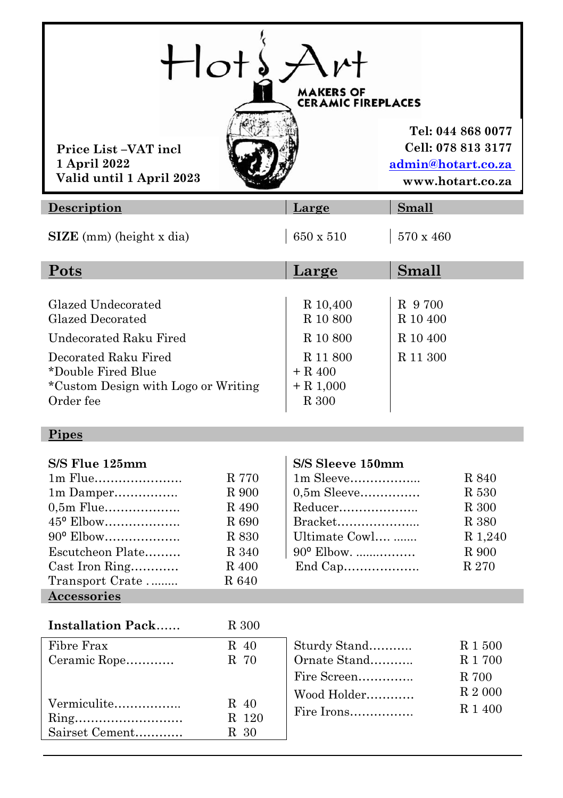| Small                                                                                                                                                                         |
|-------------------------------------------------------------------------------------------------------------------------------------------------------------------------------|
|                                                                                                                                                                               |
| 570 x 460                                                                                                                                                                     |
| Small                                                                                                                                                                         |
| R 9700<br>R 10,400<br>R 10 800<br>R 10 400<br>R 10 400<br>R 10 800<br>R 11 300<br>R 11 800                                                                                    |
|                                                                                                                                                                               |
| S/S Sleeve 150mm<br>1m Sleeve<br>R 840<br>0,5m Sleeve<br>R 530<br>Reducer<br>R 300<br>Bracket<br>R 380<br>Ultimate Cowl<br>R 1,240<br>90° Elbow.<br>R 900<br>End Cap<br>R 270 |
|                                                                                                                                                                               |
| Sturdy Stand<br>R 1 500<br>Ornate Stand<br>R 1 700                                                                                                                            |
|                                                                                                                                                                               |